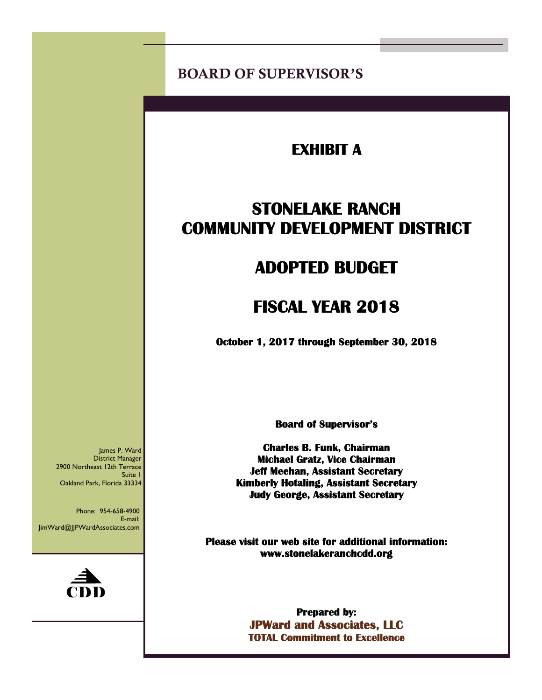BOARD OF SUPERVISOR'S

## **EXHIBIT A**

# **STONELAKE RANCH COMMUNITY DEVELOPMENT DISTRICT**

# **ADOPTED BUDGET**

# **FISCAL YEAR 2018**

 **October 1, 2017 through September 30, 2018** 

**Board of Supervisor's** 

**Charles B. Funk, Chairman Michael Gratz, Vice Chairman Jeff Meehan, Assistant Secretary Kimberly Hotaling, Assistant Secretary Judy George, Assistant Secretary** 

**Please visit our web site for additional information: www.stonelakeranchcdd.org** 

> **Prepared by: JPWard and Associates, LLC TOTAL Commitment to Excellence**

James P. Ward District Manager 2900 Northeast 12th Terrace Suite 1 Oakland Park, Florida 33334

Phone: 954-658-4900 E-mail: JimWard@JJPWardAssociates.com

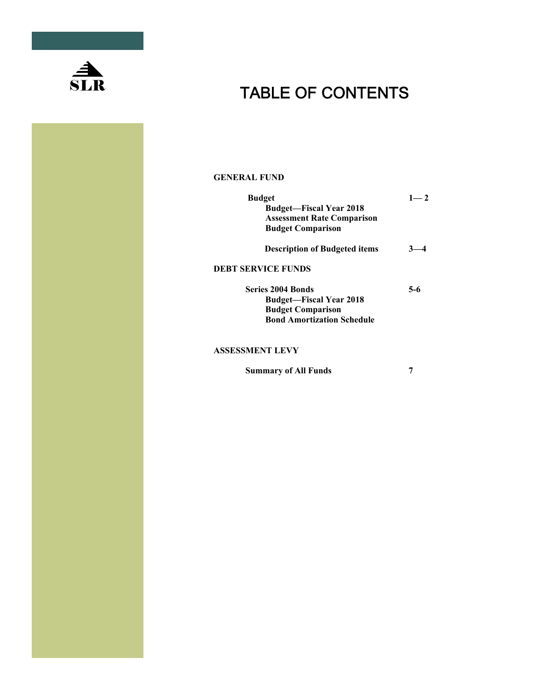

# $SLR$  TABLE OF CONTENTS

#### **GENERAL FUND**

| <b>Budget</b><br><b>Budget—Fiscal Year 2018</b><br><b>Assessment Rate Comparison</b><br><b>Budget Comparison</b>            | $1 - 2$ |  |  |  |
|-----------------------------------------------------------------------------------------------------------------------------|---------|--|--|--|
| <b>Description of Budgeted items</b>                                                                                        |         |  |  |  |
| <b>DEBT SERVICE FUNDS</b>                                                                                                   |         |  |  |  |
| <b>Series 2004 Bonds</b><br><b>Budget—Fiscal Year 2018</b><br><b>Budget Comparison</b><br><b>Bond Amortization Schedule</b> | 5-6     |  |  |  |
| <b>ASSESSMENT LEVY</b>                                                                                                      |         |  |  |  |

 **Summary of All Funds 7**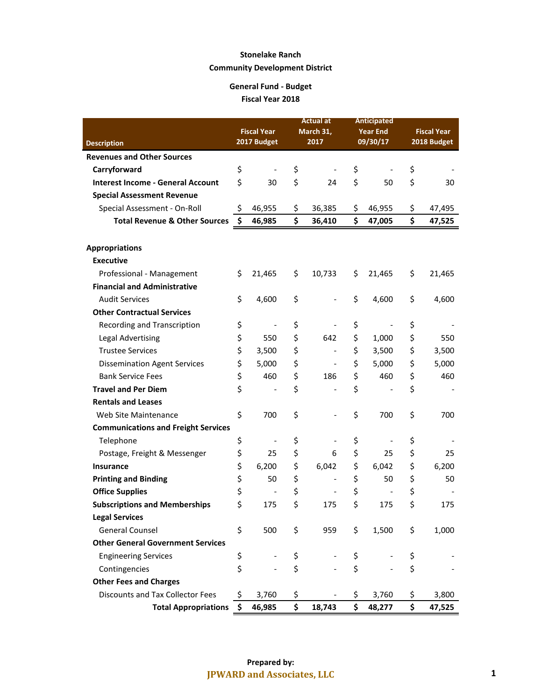|                                            |                    |                              |           | Actual at                    |                 | <b>Anticipated</b>       |                    |             |
|--------------------------------------------|--------------------|------------------------------|-----------|------------------------------|-----------------|--------------------------|--------------------|-------------|
|                                            | <b>Fiscal Year</b> |                              | March 31, |                              | <b>Year End</b> |                          | <b>Fiscal Year</b> |             |
| <b>Description</b>                         |                    | 2017 Budget                  |           | 2017                         |                 | 09/30/17                 |                    | 2018 Budget |
| <b>Revenues and Other Sources</b>          |                    |                              |           |                              |                 |                          |                    |             |
| Carryforward                               | \$                 |                              | \$        |                              | \$              |                          | \$                 |             |
| <b>Interest Income - General Account</b>   | \$                 | 30                           | \$        | 24                           | \$              | 50                       | \$                 | 30          |
| <b>Special Assessment Revenue</b>          |                    |                              |           |                              |                 |                          |                    |             |
| Special Assessment - On-Roll               | \$                 | 46,955                       | \$        | 36,385                       | \$              | 46,955                   | \$                 | 47,495      |
| <b>Total Revenue &amp; Other Sources</b>   | \$                 | 46,985                       | \$        | 36,410                       | \$              | 47,005                   | \$                 | 47,525      |
|                                            |                    |                              |           |                              |                 |                          |                    |             |
| <b>Appropriations</b>                      |                    |                              |           |                              |                 |                          |                    |             |
| <b>Executive</b>                           |                    |                              |           |                              |                 |                          |                    |             |
| Professional - Management                  | \$                 | 21,465                       | \$        | 10,733                       | \$              | 21,465                   | \$                 | 21,465      |
| <b>Financial and Administrative</b>        |                    |                              |           |                              |                 |                          |                    |             |
| <b>Audit Services</b>                      | \$                 | 4,600                        | \$        | $\qquad \qquad \blacksquare$ | \$              | 4,600                    | \$                 | 4,600       |
| <b>Other Contractual Services</b>          |                    |                              |           |                              |                 |                          |                    |             |
| <b>Recording and Transcription</b>         | \$                 | $\qquad \qquad \blacksquare$ | \$        |                              | \$              | $\overline{\phantom{a}}$ | \$                 |             |
| <b>Legal Advertising</b>                   | \$                 | 550                          | \$        | 642                          | \$              | 1,000                    | \$                 | 550         |
| <b>Trustee Services</b>                    | \$                 | 3,500                        | \$        | $\qquad \qquad -$            | \$              | 3,500                    | \$                 | 3,500       |
| <b>Dissemination Agent Services</b>        | \$                 | 5,000                        | \$        |                              | \$              | 5,000                    | \$                 | 5,000       |
| <b>Bank Service Fees</b>                   | \$                 | 460                          | \$        | 186                          | \$              | 460                      | \$                 | 460         |
| <b>Travel and Per Diem</b>                 | \$                 |                              | \$        |                              | \$              |                          | \$                 |             |
| <b>Rentals and Leases</b>                  |                    |                              |           |                              |                 |                          |                    |             |
| Web Site Maintenance                       | \$                 | 700                          | \$        |                              | \$              | 700                      | \$                 | 700         |
| <b>Communications and Freight Services</b> |                    |                              |           |                              |                 |                          |                    |             |
| Telephone                                  | \$                 | $\overline{\phantom{0}}$     | \$        |                              | \$              |                          | \$                 |             |
| Postage, Freight & Messenger               | \$                 | 25                           | \$        | 6                            | \$              | 25                       | \$                 | 25          |
| Insurance                                  | \$                 | 6,200                        | \$        | 6,042                        | \$              | 6,042                    | \$                 | 6,200       |
| <b>Printing and Binding</b>                | \$                 | 50                           | \$        | $\qquad \qquad -$            | \$              | 50                       | \$                 | 50          |
| <b>Office Supplies</b>                     | \$                 | $\overline{\phantom{a}}$     | \$        |                              | \$              | $\qquad \qquad -$        | \$                 |             |
| <b>Subscriptions and Memberships</b>       | \$                 | 175                          | \$        | 175                          | \$              | 175                      | \$                 | 175         |
| <b>Legal Services</b>                      |                    |                              |           |                              |                 |                          |                    |             |
| <b>General Counsel</b>                     | \$                 | 500                          | \$        | 959                          | \$              | 1,500                    | \$                 | 1,000       |
| <b>Other General Government Services</b>   |                    |                              |           |                              |                 |                          |                    |             |
| <b>Engineering Services</b>                | \$                 |                              | \$        |                              | \$              |                          | \$                 |             |
| Contingencies                              | \$                 |                              | \$        |                              | \$              |                          | \$                 |             |
| <b>Other Fees and Charges</b>              |                    |                              |           |                              |                 |                          |                    |             |
| <b>Discounts and Tax Collector Fees</b>    | \$                 | 3,760                        | \$        |                              | \$              | 3,760                    | \$                 | 3,800       |
| <b>Total Appropriations</b>                | \$                 | 46,985                       | \$        | 18,743                       | \$              | 48,277                   | \$                 | 47,525      |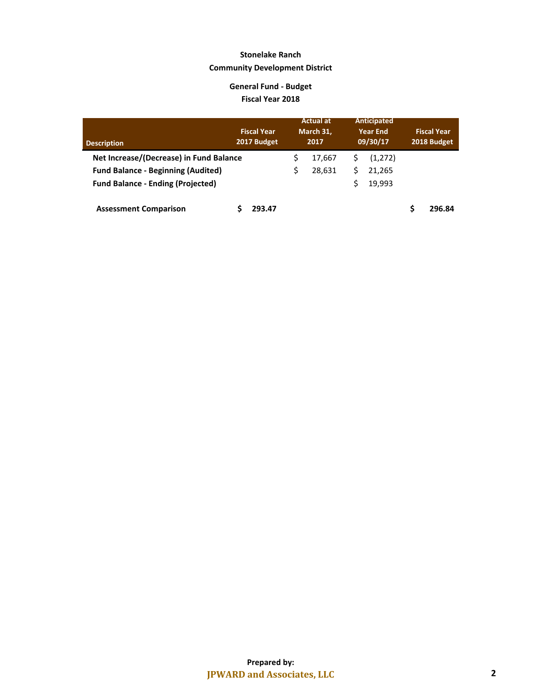| <b>Description</b>                        | <b>Fiscal Year</b><br>2017 Budget |   | <b>Actual at</b><br>March 31,<br>2017 |   | <b>Anticipated</b><br><b>Year End</b><br>09/30/17 | <b>Fiscal Year</b><br>2018 Budget |
|-------------------------------------------|-----------------------------------|---|---------------------------------------|---|---------------------------------------------------|-----------------------------------|
| Net Increase/(Decrease) in Fund Balance   |                                   |   | 17.667                                |   | (1,272)                                           |                                   |
| <b>Fund Balance - Beginning (Audited)</b> |                                   | Ś | 28.631                                | S | 21.265                                            |                                   |
| <b>Fund Balance - Ending (Projected)</b>  |                                   |   |                                       | Ś | 19.993                                            |                                   |
| <b>Assessment Comparison</b>              | 293.47                            |   |                                       |   |                                                   | 296.84                            |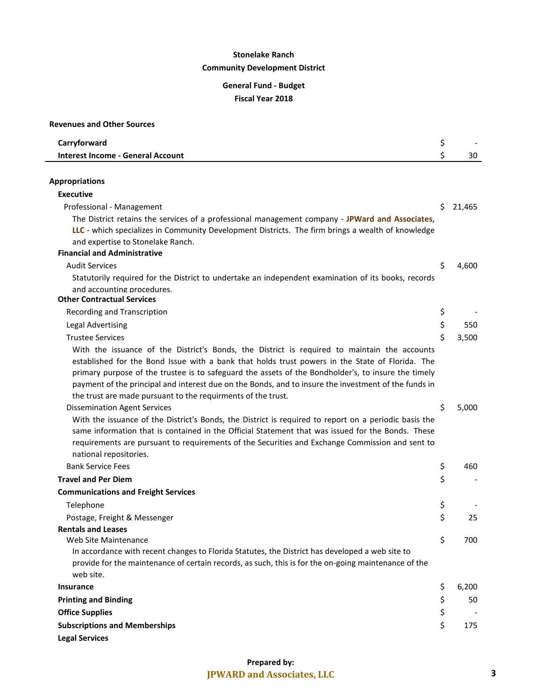| <b>Revenues and Other Sources</b>                                                                                                                                                                                                                                                                                                                                                                                                                                              |    |        |
|--------------------------------------------------------------------------------------------------------------------------------------------------------------------------------------------------------------------------------------------------------------------------------------------------------------------------------------------------------------------------------------------------------------------------------------------------------------------------------|----|--------|
| Carryforward                                                                                                                                                                                                                                                                                                                                                                                                                                                                   | \$ |        |
| <b>Interest Income - General Account</b>                                                                                                                                                                                                                                                                                                                                                                                                                                       | \$ | 30     |
|                                                                                                                                                                                                                                                                                                                                                                                                                                                                                |    |        |
| <b>Appropriations</b>                                                                                                                                                                                                                                                                                                                                                                                                                                                          |    |        |
| <b>Executive</b>                                                                                                                                                                                                                                                                                                                                                                                                                                                               |    |        |
| Professional - Management                                                                                                                                                                                                                                                                                                                                                                                                                                                      | Ś. | 21,465 |
| The District retains the services of a professional management company - JPWard and Associates,<br>LLC - which specializes in Community Development Districts. The firm brings a wealth of knowledge<br>and expertise to Stonelake Ranch.                                                                                                                                                                                                                                      |    |        |
| <b>Financial and Administrative</b>                                                                                                                                                                                                                                                                                                                                                                                                                                            |    |        |
| <b>Audit Services</b>                                                                                                                                                                                                                                                                                                                                                                                                                                                          | \$ | 4,600  |
| Statutorily required for the District to undertake an independent examination of its books, records<br>and accounting procedures.<br><b>Other Contractual Services</b>                                                                                                                                                                                                                                                                                                         |    |        |
| Recording and Transcription                                                                                                                                                                                                                                                                                                                                                                                                                                                    | \$ |        |
| <b>Legal Advertising</b>                                                                                                                                                                                                                                                                                                                                                                                                                                                       | \$ | 550    |
| <b>Trustee Services</b>                                                                                                                                                                                                                                                                                                                                                                                                                                                        | \$ | 3,500  |
| With the issuance of the District's Bonds, the District is required to maintain the accounts<br>established for the Bond Issue with a bank that holds trust powers in the State of Florida. The<br>primary purpose of the trustee is to safeguard the assets of the Bondholder's, to insure the timely<br>payment of the principal and interest due on the Bonds, and to insure the investment of the funds in<br>the trust are made pursuant to the requirments of the trust. | \$ | 5,000  |
| <b>Dissemination Agent Services</b><br>With the issuance of the District's Bonds, the District is required to report on a periodic basis the<br>same information that is contained in the Official Statement that was issued for the Bonds. These<br>requirements are pursuant to requirements of the Securities and Exchange Commission and sent to<br>national repositories.                                                                                                 |    |        |
| <b>Bank Service Fees</b>                                                                                                                                                                                                                                                                                                                                                                                                                                                       | \$ | 460    |
| <b>Travel and Per Diem</b>                                                                                                                                                                                                                                                                                                                                                                                                                                                     | \$ |        |
| <b>Communications and Freight Services</b>                                                                                                                                                                                                                                                                                                                                                                                                                                     |    |        |
| Telephone                                                                                                                                                                                                                                                                                                                                                                                                                                                                      | \$ |        |
| Postage, Freight & Messenger                                                                                                                                                                                                                                                                                                                                                                                                                                                   | \$ | 25     |
| <b>Rentals and Leases</b>                                                                                                                                                                                                                                                                                                                                                                                                                                                      |    |        |
| Web Site Maintenance<br>In accordance with recent changes to Florida Statutes, the District has developed a web site to<br>provide for the maintenance of certain records, as such, this is for the on-going maintenance of the<br>web site.                                                                                                                                                                                                                                   | \$ | 700    |
| <b>Insurance</b>                                                                                                                                                                                                                                                                                                                                                                                                                                                               | \$ | 6,200  |
| <b>Printing and Binding</b>                                                                                                                                                                                                                                                                                                                                                                                                                                                    | \$ | 50     |
| <b>Office Supplies</b>                                                                                                                                                                                                                                                                                                                                                                                                                                                         | \$ |        |
| <b>Subscriptions and Memberships</b><br><b>Legal Services</b>                                                                                                                                                                                                                                                                                                                                                                                                                  | \$ | 175    |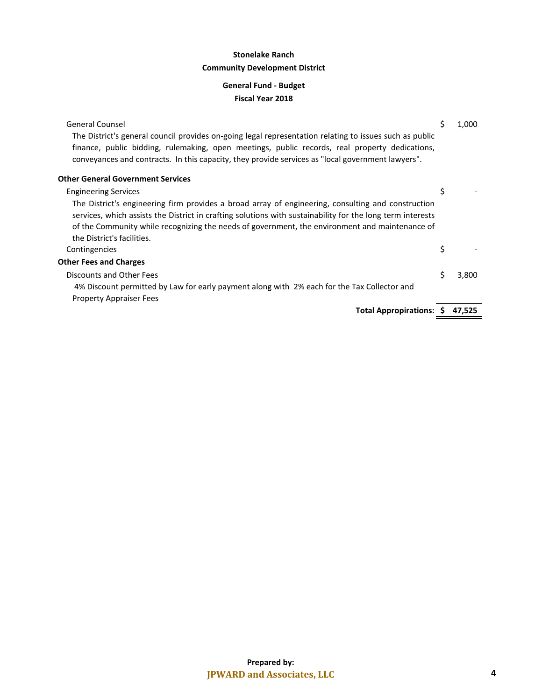| <b>General Counsel</b>                                                                                                                                                                                           | \$<br>1,000 |
|------------------------------------------------------------------------------------------------------------------------------------------------------------------------------------------------------------------|-------------|
| The District's general council provides on-going legal representation relating to issues such as public<br>finance, public bidding, rulemaking, open meetings, public records, real property dedications,        |             |
| conveyances and contracts. In this capacity, they provide services as "local government lawyers".                                                                                                                |             |
| <b>Other General Government Services</b>                                                                                                                                                                         |             |
| <b>Engineering Services</b>                                                                                                                                                                                      | \$          |
| The District's engineering firm provides a broad array of engineering, consulting and construction<br>services, which assists the District in crafting solutions with sustainability for the long term interests |             |
| of the Community while recognizing the needs of government, the environment and maintenance of                                                                                                                   |             |
| the District's facilities.                                                                                                                                                                                       |             |
| Contingencies                                                                                                                                                                                                    | \$          |
| <b>Other Fees and Charges</b>                                                                                                                                                                                    |             |
| Discounts and Other Fees                                                                                                                                                                                         | \$<br>3,800 |
| 4% Discount permitted by Law for early payment along with 2% each for the Tax Collector and                                                                                                                      |             |
| <b>Property Appraiser Fees</b>                                                                                                                                                                                   |             |
| <b>Total Appropirations: \$</b>                                                                                                                                                                                  | 47,525      |
|                                                                                                                                                                                                                  |             |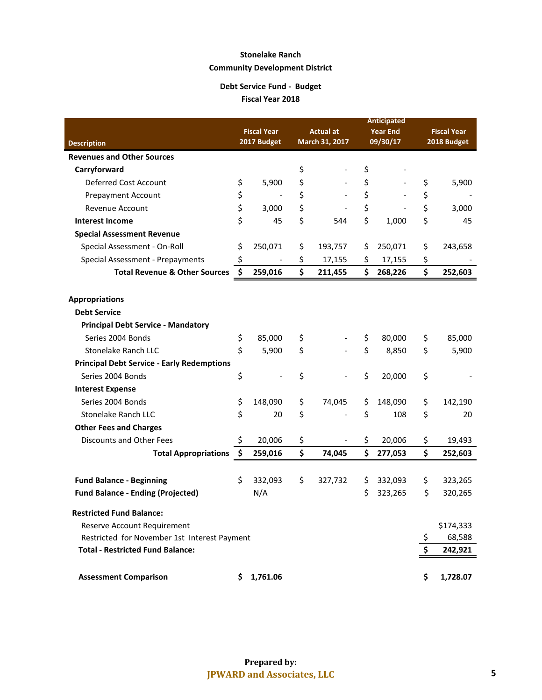#### **Debt Service Fund - Budget Fiscal Year 2018**

|                                                   |                    |             |    |                  |          | <b>Anticipated</b> |    |                    |  |
|---------------------------------------------------|--------------------|-------------|----|------------------|----------|--------------------|----|--------------------|--|
|                                                   | <b>Fiscal Year</b> |             |    | <b>Actual at</b> |          | <b>Year End</b>    |    | <b>Fiscal Year</b> |  |
| <b>Description</b>                                |                    | 2017 Budget |    | March 31, 2017   | 09/30/17 |                    |    | 2018 Budget        |  |
| <b>Revenues and Other Sources</b>                 |                    |             |    |                  |          |                    |    |                    |  |
| Carryforward                                      |                    |             | \$ |                  | \$       |                    |    |                    |  |
| Deferred Cost Account                             | \$                 | 5,900       | \$ |                  | \$       |                    | \$ | 5,900              |  |
| <b>Prepayment Account</b>                         | \$                 |             | \$ |                  | \$       |                    | \$ |                    |  |
| Revenue Account                                   | \$                 | 3,000       | \$ |                  | \$       |                    | \$ | 3,000              |  |
| <b>Interest Income</b>                            | \$                 | 45          | \$ | 544              | \$       | 1,000              | \$ | 45                 |  |
| <b>Special Assessment Revenue</b>                 |                    |             |    |                  |          |                    |    |                    |  |
| Special Assessment - On-Roll                      | \$                 | 250,071     | \$ | 193,757          | Ş        | 250,071            | \$ | 243,658            |  |
| Special Assessment - Prepayments                  | \$                 |             | \$ | 17,155           | \$       | 17,155             | \$ |                    |  |
| <b>Total Revenue &amp; Other Sources</b>          | \$                 | 259,016     | \$ | 211,455          | \$       | 268,226            | \$ | 252,603            |  |
|                                                   |                    |             |    |                  |          |                    |    |                    |  |
| <b>Appropriations</b>                             |                    |             |    |                  |          |                    |    |                    |  |
| <b>Debt Service</b>                               |                    |             |    |                  |          |                    |    |                    |  |
| <b>Principal Debt Service - Mandatory</b>         |                    |             |    |                  |          |                    |    |                    |  |
| Series 2004 Bonds                                 | \$                 | 85,000      | \$ |                  | \$       | 80,000             | \$ | 85,000             |  |
| <b>Stonelake Ranch LLC</b>                        | \$                 | 5,900       | \$ |                  | \$       | 8,850              | \$ | 5,900              |  |
| <b>Principal Debt Service - Early Redemptions</b> |                    |             |    |                  |          |                    |    |                    |  |
| Series 2004 Bonds                                 | \$                 |             | \$ |                  | \$       | 20,000             | \$ |                    |  |
| <b>Interest Expense</b>                           |                    |             |    |                  |          |                    |    |                    |  |
| Series 2004 Bonds                                 | \$                 | 148,090     | \$ | 74,045           | \$       | 148,090            | \$ | 142,190            |  |
| Stonelake Ranch LLC                               | \$                 | 20          | \$ |                  | \$       | 108                | \$ | 20                 |  |
| <b>Other Fees and Charges</b>                     |                    |             |    |                  |          |                    |    |                    |  |
| Discounts and Other Fees                          | \$.                | 20,006      | \$ |                  | \$       | 20,006             | \$ | 19,493             |  |
| <b>Total Appropriations</b>                       | \$                 | 259,016     | \$ | 74,045           | \$       | 277,053            | \$ | 252,603            |  |
|                                                   |                    |             |    |                  |          |                    |    |                    |  |
| <b>Fund Balance - Beginning</b>                   | \$                 | 332,093     | \$ | 327,732          | \$       | 332,093            | \$ | 323,265            |  |
| <b>Fund Balance - Ending (Projected)</b>          |                    | N/A         |    |                  | \$       | 323,265            | \$ | 320,265            |  |
| <b>Restricted Fund Balance:</b>                   |                    |             |    |                  |          |                    |    |                    |  |
| Reserve Account Requirement                       |                    |             |    |                  |          |                    |    | \$174,333          |  |
| Restricted for November 1st Interest Payment      |                    |             |    |                  |          |                    | \$ | 68,588             |  |
| <b>Total - Restricted Fund Balance:</b>           |                    |             |    |                  |          |                    | \$ | 242,921            |  |
|                                                   |                    |             |    |                  |          |                    |    |                    |  |
| <b>Assessment Comparison</b>                      |                    | \$1,761.06  |    |                  |          |                    | \$ | 1,728.07           |  |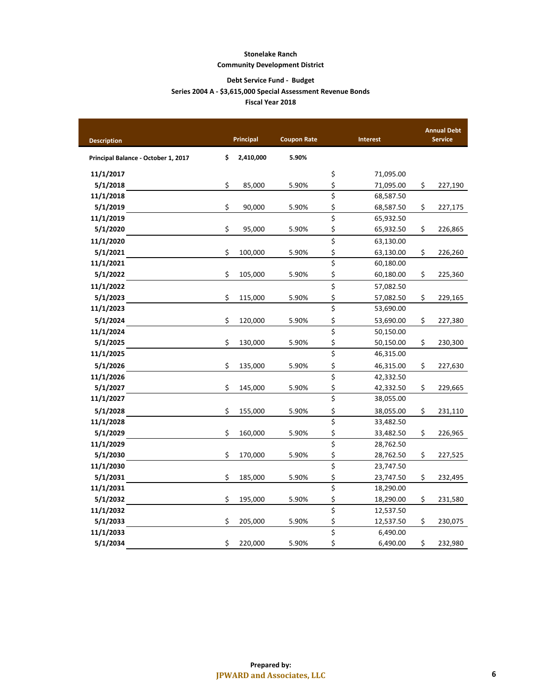#### **Debt Service Fund - Budget Fiscal Year 2018 Series 2004 A - \$3,615,000 Special Assessment Revenue Bonds**

| <b>Description</b>                  | Principal       | <b>Coupon Rate</b> |                                 | Interest  |    | <b>Annual Debt</b><br><b>Service</b> |
|-------------------------------------|-----------------|--------------------|---------------------------------|-----------|----|--------------------------------------|
| Principal Balance - October 1, 2017 | \$<br>2,410,000 | 5.90%              |                                 |           |    |                                      |
| 11/1/2017                           |                 |                    | \$                              | 71,095.00 |    |                                      |
| 5/1/2018                            | \$<br>85,000    | 5.90%              | \$                              | 71,095.00 | \$ | 227,190                              |
| 11/1/2018                           |                 |                    | \$                              | 68,587.50 |    |                                      |
| 5/1/2019                            | \$<br>90,000    | 5.90%              | \$                              | 68,587.50 | \$ | 227,175                              |
| 11/1/2019                           |                 |                    | \$                              | 65,932.50 |    |                                      |
| 5/1/2020                            | \$<br>95,000    | 5.90%              | \$                              | 65,932.50 | \$ | 226,865                              |
| 11/1/2020                           |                 |                    | \$                              | 63,130.00 |    |                                      |
| 5/1/2021                            | \$<br>100,000   | 5.90%              | \$                              | 63,130.00 | \$ | 226,260                              |
| 11/1/2021                           |                 |                    | \$                              | 60,180.00 |    |                                      |
| 5/1/2022                            | \$<br>105,000   | 5.90%              | \$                              | 60,180.00 | \$ | 225,360                              |
| 11/1/2022                           |                 |                    | \$                              | 57,082.50 |    |                                      |
| 5/1/2023                            | \$<br>115,000   | 5.90%              | \$                              | 57,082.50 | \$ | 229,165                              |
| 11/1/2023                           |                 |                    | $\overline{\boldsymbol{\zeta}}$ | 53,690.00 |    |                                      |
| 5/1/2024                            | \$<br>120,000   | 5.90%              | \$                              | 53,690.00 | \$ | 227,380                              |
| 11/1/2024                           |                 |                    | \$                              | 50,150.00 |    |                                      |
| 5/1/2025                            | \$<br>130,000   | 5.90%              | \$                              | 50,150.00 | \$ | 230,300                              |
| 11/1/2025                           |                 |                    | $\overline{\xi}$                | 46,315.00 |    |                                      |
| 5/1/2026                            | \$<br>135,000   | 5.90%              | \$                              | 46,315.00 | \$ | 227,630                              |
| 11/1/2026                           |                 |                    | \$                              | 42,332.50 |    |                                      |
| 5/1/2027                            | \$<br>145,000   | 5.90%              | \$                              | 42,332.50 | \$ | 229,665                              |
| 11/1/2027                           |                 |                    | \$                              | 38,055.00 |    |                                      |
| 5/1/2028                            | \$<br>155,000   | 5.90%              | \$                              | 38,055.00 | \$ | 231,110                              |
| 11/1/2028                           |                 |                    | $\overline{\boldsymbol{\zeta}}$ | 33,482.50 |    |                                      |
| 5/1/2029                            | \$<br>160,000   | 5.90%              | \$                              | 33,482.50 | \$ | 226,965                              |
| 11/1/2029                           |                 |                    | \$                              | 28,762.50 |    |                                      |
| 5/1/2030                            | \$<br>170,000   | 5.90%              | \$                              | 28,762.50 | \$ | 227,525                              |
| 11/1/2030                           |                 |                    | \$                              | 23,747.50 |    |                                      |
| 5/1/2031                            | \$<br>185,000   | 5.90%              | \$                              | 23,747.50 | \$ | 232,495                              |
| 11/1/2031                           |                 |                    | \$                              | 18,290.00 |    |                                      |
| 5/1/2032                            | \$<br>195,000   | 5.90%              | \$                              | 18,290.00 | \$ | 231,580                              |
| 11/1/2032                           |                 |                    | $\overline{\xi}$                | 12,537.50 |    |                                      |
| 5/1/2033                            | \$<br>205,000   | 5.90%              | \$                              | 12,537.50 | \$ | 230,075                              |
| 11/1/2033                           |                 |                    | \$                              | 6,490.00  |    |                                      |
| 5/1/2034                            | \$<br>220,000   | 5.90%              | \$                              | 6,490.00  | \$ | 232,980                              |